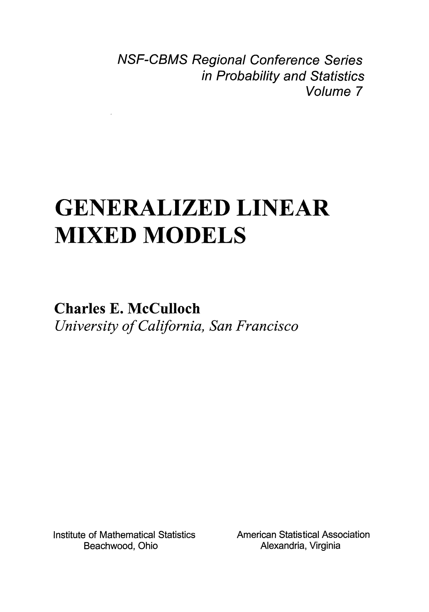NSF-CBMS Regional Conference Series in Probability and Statistics Volume 7

# GENERALIZED LINEAR MIXED MODELS

Charles E. McCulloch *University of California, San Francisco* 

Institute of Mathematical Statistics Beachwood, Ohio

 $\mathcal{L}$ 

American Statistical Association Alexandria, Virginia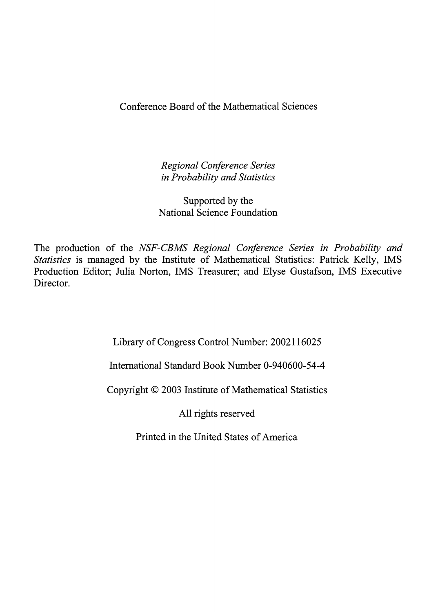Conference Board of the Mathematical Sciences

*Regional Conference Series in Probability and Statistics* 

Supported by the National Science Foundation

The production of the *NSF-CBMS Regional Conference Series in Probability and Statistics* is managed by the Institute of Mathematical Statistics: Patrick Kelly, IMS Production Editor; Julia Norton, IMS Treasurer; and Elyse Gustafson, IMS Executive Director.

Library of Congress Control Number: 2002116025

International Standard Book Number 0-940600-54-4

Copyright © 2003 Institute of Mathematical Statistics

All rights reserved

Printed in the United States of America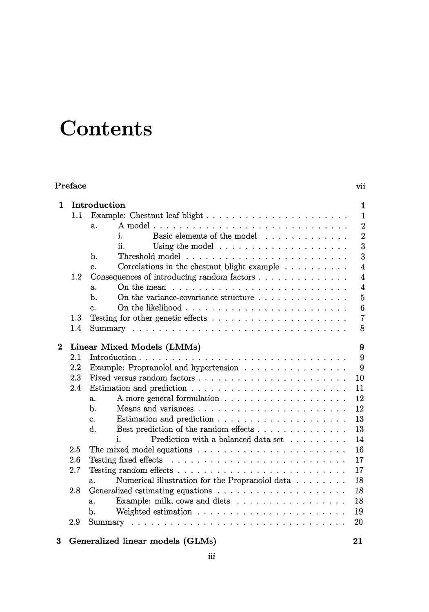## **Contents**

| Preface          |     |                                                                                       |                |  |
|------------------|-----|---------------------------------------------------------------------------------------|----------------|--|
| 1                |     | Introduction                                                                          | 1              |  |
|                  | 1.1 | Example: Chestnut leaf blight                                                         | $\mathbf{1}$   |  |
|                  |     | a.                                                                                    | $\overline{2}$ |  |
|                  |     | Basic elements of the model<br>i.                                                     | $\overline{2}$ |  |
|                  |     | ij.<br>Using the model $\dots \dots \dots \dots \dots \dots \dots$                    | $\overline{3}$ |  |
|                  |     | b.                                                                                    | 3              |  |
|                  |     | Correlations in the chestnut blight example $\ldots \ldots \ldots$<br>$\mathbf{c}$ .  | $\overline{4}$ |  |
|                  | 1.2 | Consequences of introducing random factors                                            | 4              |  |
|                  |     | On the mean $\dots \dots \dots \dots \dots \dots \dots \dots \dots$<br>a.             | 4              |  |
|                  |     | On the variance-covariance structure $\ldots$ , , ,<br>b.                             | $\overline{5}$ |  |
|                  |     | $\mathbf{c}$ .                                                                        | 6              |  |
|                  | 1.3 |                                                                                       | $\overline{7}$ |  |
|                  | 1.4 |                                                                                       | 8              |  |
| $\boldsymbol{2}$ |     | Linear Mixed Models (LMMs)                                                            | 9              |  |
|                  | 2.1 |                                                                                       | 9              |  |
|                  | 2.2 | Example: Propranolol and hypertension $\ldots \ldots \ldots \ldots \ldots$            | 9              |  |
|                  | 2.3 |                                                                                       | 10             |  |
|                  | 2.4 | Estimation and prediction $\ldots \ldots \ldots \ldots \ldots \ldots \ldots \ldots$   | 11             |  |
|                  |     | a.                                                                                    | 12             |  |
|                  |     | h.                                                                                    | 12             |  |
|                  |     | Estimation and prediction $\ldots \ldots \ldots \ldots \ldots \ldots \ldots$<br>c.    | 13             |  |
|                  |     | d.<br>Best prediction of the random effects                                           | 13             |  |
|                  |     | Prediction with a balanced data set $\dots \dots \dots$<br>i.                         | 14             |  |
|                  | 2.5 | The mixed model equations $\ldots \ldots \ldots \ldots \ldots \ldots \ldots$          | 16             |  |
|                  | 2.6 | Testing fixed effects $\ldots \ldots \ldots \ldots \ldots \ldots \ldots \ldots$       | 17             |  |
|                  | 2.7 |                                                                                       | 17             |  |
|                  |     | Numerical illustration for the Propranolol data<br>a.                                 | 18             |  |
|                  | 2.8 |                                                                                       | 18             |  |
|                  |     | Example: milk, cows and diets $\dots \dots \dots \dots \dots \dots$<br>$\mathbf{a}$ . | 18             |  |
|                  |     | b.                                                                                    | 19             |  |
|                  | 2.9 |                                                                                       | 20             |  |
| 3                |     | Generalized linear models (GLMs)                                                      | 21             |  |

#### 3 Generalized linear models (GLMs)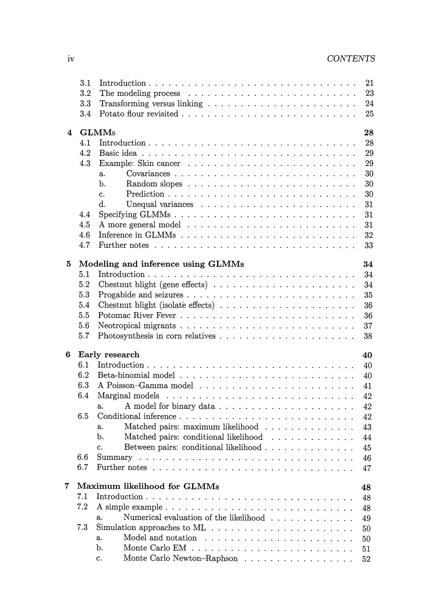|   | 3.1 |                                                                                                | 21 |
|---|-----|------------------------------------------------------------------------------------------------|----|
|   | 3.2 |                                                                                                | 23 |
|   | 3.3 |                                                                                                | 24 |
|   | 3.4 |                                                                                                | 25 |
|   |     |                                                                                                |    |
| 4 |     | <b>GLMMs</b><br>28                                                                             |    |
|   | 4.1 |                                                                                                | 28 |
|   | 4.2 |                                                                                                | 29 |
|   | 4.3 | 29                                                                                             |    |
|   |     | 30<br>a.                                                                                       |    |
|   |     | 30<br>b.                                                                                       |    |
|   |     | 30<br>$\mathbf{c}$ .                                                                           |    |
|   |     | d.<br>31                                                                                       |    |
|   | 4.4 | 31                                                                                             |    |
|   | 4.5 | 31                                                                                             |    |
|   | 4.6 | 32                                                                                             |    |
|   | 4.7 | 33                                                                                             |    |
|   |     |                                                                                                |    |
| 5 |     | Modeling and inference using GLMMs<br>34                                                       |    |
|   | 5.1 | 34                                                                                             |    |
|   | 5.2 | 34                                                                                             |    |
|   | 5.3 | 35                                                                                             |    |
|   | 5.4 | 36                                                                                             |    |
|   | 5.5 | 36                                                                                             |    |
|   | 5.6 | 37                                                                                             |    |
|   | 5.7 | 38                                                                                             |    |
|   |     |                                                                                                |    |
| 6 |     | Early research<br>40                                                                           |    |
|   | 6.1 | 40                                                                                             |    |
|   | 6.2 | 40                                                                                             |    |
|   | 6.3 | 41                                                                                             |    |
|   | 6.4 | 42                                                                                             |    |
|   |     | 42<br>a.                                                                                       |    |
|   | 6.5 | 42                                                                                             |    |
|   |     | Matched pairs: maximum likelihood<br>43<br>a.                                                  |    |
|   |     | b.<br>Matched pairs: conditional likelihood<br>44                                              |    |
|   |     | 45<br>c.                                                                                       |    |
|   | 6.6 | Summary<br>46                                                                                  |    |
|   | 6.7 | 47                                                                                             |    |
|   |     |                                                                                                |    |
| 7 |     | Maximum likelihood for GLMMs<br>48                                                             |    |
|   | 7.1 | 48                                                                                             |    |
|   | 7.2 | A simple example $\ldots \ldots \ldots \ldots \ldots \ldots \ldots \ldots \ldots \ldots$<br>48 |    |
|   |     | Numerical evaluation of the likelihood<br>a.<br>49                                             |    |
|   | 7.3 | 50                                                                                             |    |
|   |     | Model and notation<br>a.<br>50                                                                 |    |
|   |     | b.<br>51                                                                                       |    |
|   |     | Monte Carlo Newton–Raphson<br>c.<br>52                                                         |    |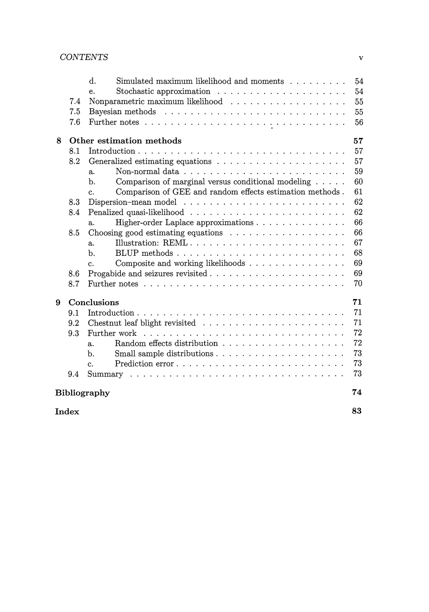#### *CONTENTS* v

|       | 7.4                | $\mathbf{d}$ .<br>Simulated maximum likelihood and moments<br>Stochastic approximation $\ldots \ldots \ldots \ldots \ldots \ldots$<br>e. | 54<br>54<br>55 |  |  |  |  |
|-------|--------------------|------------------------------------------------------------------------------------------------------------------------------------------|----------------|--|--|--|--|
|       | 7.5<br>7.6         |                                                                                                                                          | 55<br>56       |  |  |  |  |
| 8     |                    | Other estimation methods                                                                                                                 | 57             |  |  |  |  |
|       | 8.1                |                                                                                                                                          | 57             |  |  |  |  |
|       | 8.2                |                                                                                                                                          | 57             |  |  |  |  |
|       |                    | a.                                                                                                                                       | 59             |  |  |  |  |
|       |                    | Comparison of marginal versus conditional modeling<br>b.                                                                                 | 60             |  |  |  |  |
|       |                    | Comparison of GEE and random effects estimation methods.<br>c.                                                                           | 61             |  |  |  |  |
|       | 8.3                |                                                                                                                                          | 62             |  |  |  |  |
|       | 8.4                |                                                                                                                                          | 62             |  |  |  |  |
|       |                    | Higher-order Laplace approximations<br>a.                                                                                                | 66             |  |  |  |  |
|       | 8.5                | Choosing good estimating equations $\ldots \ldots \ldots \ldots \ldots \ldots$                                                           | 66             |  |  |  |  |
|       |                    | Illustration: REML<br>$a_{\cdot}$                                                                                                        | 67             |  |  |  |  |
|       |                    | $b$ .                                                                                                                                    | 68             |  |  |  |  |
|       |                    | Composite and working likelihoods<br>$C_{\alpha}$                                                                                        | 69             |  |  |  |  |
|       | 8.6                |                                                                                                                                          | 69             |  |  |  |  |
|       | 8.7                |                                                                                                                                          | 70             |  |  |  |  |
| 9     |                    | Conclusions                                                                                                                              | 71             |  |  |  |  |
|       | 9.1                |                                                                                                                                          | 71             |  |  |  |  |
|       | 9.2                |                                                                                                                                          | 71             |  |  |  |  |
|       | 9.3                | Further work $\ldots \ldots \ldots \ldots \ldots \ldots \ldots \ldots \ldots$                                                            | 72             |  |  |  |  |
|       |                    | a.                                                                                                                                       | 72             |  |  |  |  |
|       |                    | b.                                                                                                                                       | 73             |  |  |  |  |
|       |                    | $C_{\rm{L}}$                                                                                                                             | 73             |  |  |  |  |
|       | 9.4                |                                                                                                                                          | 73             |  |  |  |  |
|       | 74<br>Bibliography |                                                                                                                                          |                |  |  |  |  |
| Index |                    |                                                                                                                                          |                |  |  |  |  |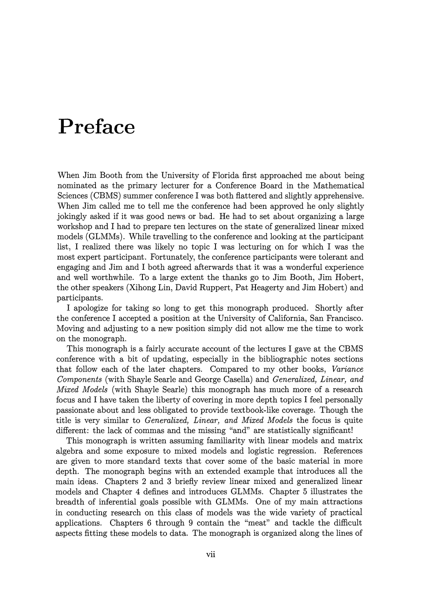### **Preface**

When Jim Booth from the University of Florida first approached me about being nominated as the primary lecturer for a Conference Board in the Mathematical Sciences (CBMS) summer conference I was both flattered and slightly apprehensive. When Jim called me to tell me the conference had been approved he only slightly jokingly asked if it was good news or bad. He had to set about organizing a large workshop and I had to prepare ten lectures on the state of generalized linear mixed models (GLMMs). While travelling to the conference and looking at the participant list, I realized there was likely no topic I was lecturing on for which I was the most expert participant. Fortunately, the conference participants were tolerant and engaging and Jim and I both agreed afterwards that it was a wonderful experience and well worthwhile. To a large extent the thanks go to Jim Booth, Jim Hobert, the other speakers (Xihong Lin, David Ruppert, Pat Heagerty and Jim Hobert) and participants.

I apologize for taking so long to get this monograph produced. Shortly after the conference I accepted a position at the University of California, San Francisco. Moving and adjusting to a new position simply did not allow me the time to work on the monograph.

This monograph is a fairly accurate account of the lectures I gave at the CBMS conference with a bit of updating, especially in the bibliographic notes sections that follow each of the later chapters. Compared to my other books, *Variance Components* (with Shayle Searle and George Casella) and *Generalized, Linear, and Mixed Models* (with Shayle Searle) this monograph has much more of a research focus and I have taken the liberty of covering in more depth topics I feel personally passionate about and less obligated to provide textbook-like coverage. Though the title is very similar to *Generalized, Linear, and Mixed Models* the focus is quite different: the lack of commas and the missing "and" are statistically significant!

This monograph is written assuming familiarity with linear models and matrix algebra and some exposure to mixed models and logistic regression. References are given to more standard texts that cover some of the basic material in more depth. The monograph begins with an extended example that introduces all the main ideas. Chapters 2 and 3 briefly review linear mixed and generalized linear models and Chapter 4 defines and introduces GLMMs. Chapter 5 illustrates the breadth of inferential goals possible with GLMMs. One of my main attractions in conducting research on this class of models was the wide variety of practical applications. Chapters 6 through 9 contain the "meat" and tackle the difficult aspects fitting these models to data. The monograph is organized along the lines of